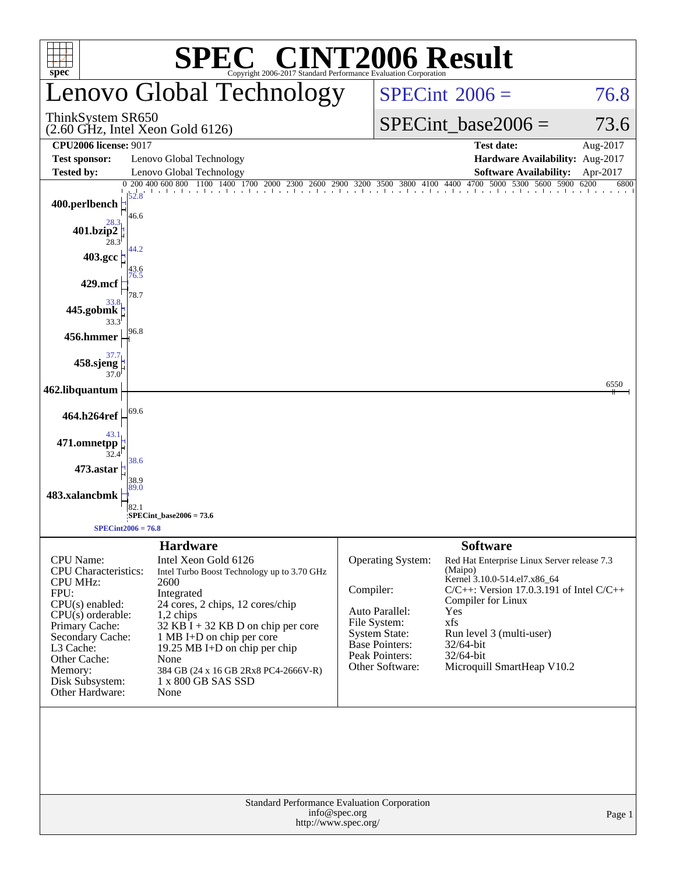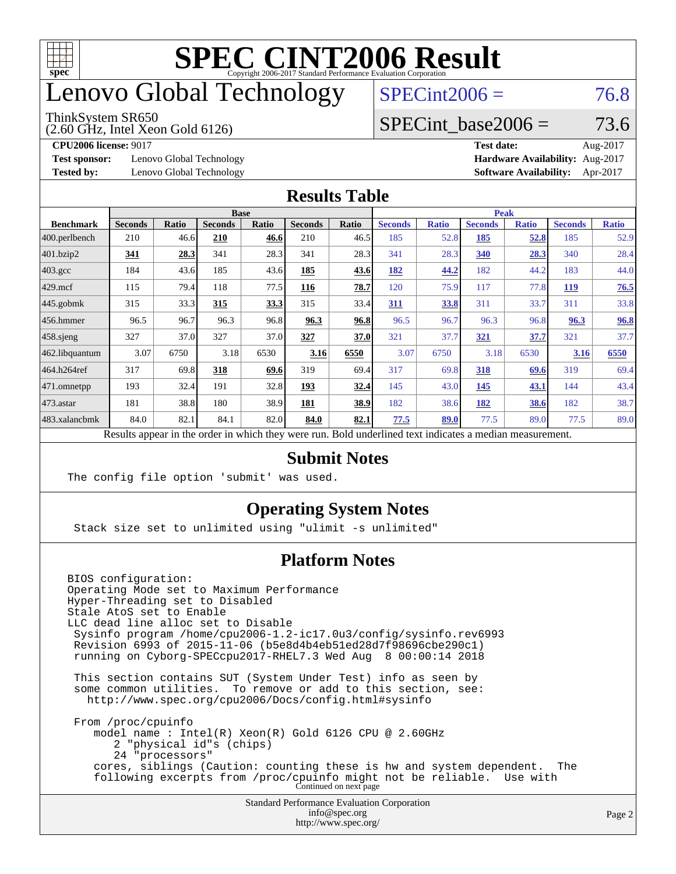

## enovo Global Technology

#### ThinkSystem SR650

(2.60 GHz, Intel Xeon Gold 6126)

 $SPECint2006 = 76.8$  $SPECint2006 = 76.8$ 

### SPECint base2006 =  $73.6$

**[Test sponsor:](http://www.spec.org/auto/cpu2006/Docs/result-fields.html#Testsponsor)** Lenovo Global Technology **[Hardware Availability:](http://www.spec.org/auto/cpu2006/Docs/result-fields.html#HardwareAvailability)** Aug-2017

**[CPU2006 license:](http://www.spec.org/auto/cpu2006/Docs/result-fields.html#CPU2006license)** 9017 **[Test date:](http://www.spec.org/auto/cpu2006/Docs/result-fields.html#Testdate)** Aug-2017 **[Tested by:](http://www.spec.org/auto/cpu2006/Docs/result-fields.html#Testedby)** Lenovo Global Technology **[Software Availability:](http://www.spec.org/auto/cpu2006/Docs/result-fields.html#SoftwareAvailability)** Apr-2017

#### **[Results Table](http://www.spec.org/auto/cpu2006/Docs/result-fields.html#ResultsTable)**

|                                                                                                          | <b>Base</b>    |              |                |              |                |       | <b>Peak</b>    |              |                |              |                |              |
|----------------------------------------------------------------------------------------------------------|----------------|--------------|----------------|--------------|----------------|-------|----------------|--------------|----------------|--------------|----------------|--------------|
| <b>Benchmark</b>                                                                                         | <b>Seconds</b> | <b>Ratio</b> | <b>Seconds</b> | <b>Ratio</b> | <b>Seconds</b> | Ratio | <b>Seconds</b> | <b>Ratio</b> | <b>Seconds</b> | <b>Ratio</b> | <b>Seconds</b> | <b>Ratio</b> |
| 400.perlbench                                                                                            | 210            | 46.6         | 210            | 46.6         | 210            | 46.5  | 185            | 52.8         | 185            | <u>52.8</u>  | 185            | 52.9         |
| 401.bzip2                                                                                                | 341            | 28.3         | 341            | 28.3         | 341            | 28.3  | 341            | 28.3         | 340            | 28.3         | 340            | 28.4         |
| $403.\mathrm{gcc}$                                                                                       | 184            | 43.6         | 185            | 43.6         | 185            | 43.6  | 182            | 44.2         | 182            | 44.2         | 183            | 44.0         |
| $429$ .mcf                                                                                               | 115            | 79.4         | 118            | 77.5         | 116            | 78.7  | 120            | 75.9         | 117            | 77.8         | <b>119</b>     | 76.5         |
| $445$ .gobmk                                                                                             | 315            | 33.3         | 315            | 33.3         | 315            | 33.4  | 311            | 33.8         | 311            | 33.7         | 311            | 33.8         |
| $456.$ hmmer                                                                                             | 96.5           | 96.7         | 96.3           | 96.8         | 96.3           | 96.8  | 96.5           | 96.7         | 96.3           | 96.8         | 96.3           | 96.8         |
| $458$ .sjeng                                                                                             | 327            | 37.0         | 327            | 37.0         | 327            | 37.0  | 321            | 37.7         | 321            | 37.7         | 321            | 37.7         |
| 462.libquantum                                                                                           | 3.07           | 6750         | 3.18           | 6530         | 3.16           | 6550  | 3.07           | 6750         | 3.18           | 6530         | 3.16           | 6550         |
| 464.h264ref                                                                                              | 317            | 69.8         | 318            | 69.6         | 319            | 69.4  | 317            | 69.8         | 318            | 69.6         | 319            | 69.4         |
| $ 471$ .omnetpp                                                                                          | 193            | 32.4         | 191            | 32.8         | 193            | 32.4  | 145            | 43.0         | 145            | 43.1         | 144            | 43.4         |
| $473$ . astar                                                                                            | 181            | 38.8         | 180            | 38.9         | 181            | 38.9  | 182            | 38.6         | <u>182</u>     | 38.6         | 182            | 38.7         |
| 483.xalancbmk                                                                                            | 84.0           | 82.1         | 84.1           | 82.0         | 84.0           | 82.1  | 77.5           | 89.0         | 77.5           | 89.0         | 77.5           | 89.0         |
| Results appear in the order in which they were run. Bold underlined text indicates a median measurement. |                |              |                |              |                |       |                |              |                |              |                |              |

#### **[Submit Notes](http://www.spec.org/auto/cpu2006/Docs/result-fields.html#SubmitNotes)**

The config file option 'submit' was used.

### **[Operating System Notes](http://www.spec.org/auto/cpu2006/Docs/result-fields.html#OperatingSystemNotes)**

Stack size set to unlimited using "ulimit -s unlimited"

### **[Platform Notes](http://www.spec.org/auto/cpu2006/Docs/result-fields.html#PlatformNotes)**

Standard Performance Evaluation Corporation [info@spec.org](mailto:info@spec.org) BIOS configuration: Operating Mode set to Maximum Performance Hyper-Threading set to Disabled Stale AtoS set to Enable LLC dead line alloc set to Disable Sysinfo program /home/cpu2006-1.2-ic17.0u3/config/sysinfo.rev6993 Revision 6993 of 2015-11-06 (b5e8d4b4eb51ed28d7f98696cbe290c1) running on Cyborg-SPECcpu2017-RHEL7.3 Wed Aug 8 00:00:14 2018 This section contains SUT (System Under Test) info as seen by some common utilities. To remove or add to this section, see: <http://www.spec.org/cpu2006/Docs/config.html#sysinfo> From /proc/cpuinfo model name : Intel(R) Xeon(R) Gold 6126 CPU @ 2.60GHz 2 "physical id"s (chips) 24 "processors" cores, siblings (Caution: counting these is hw and system dependent. The following excerpts from /proc/cpuinfo might not be reliable. Use with Continued on next page

<http://www.spec.org/>

Page 2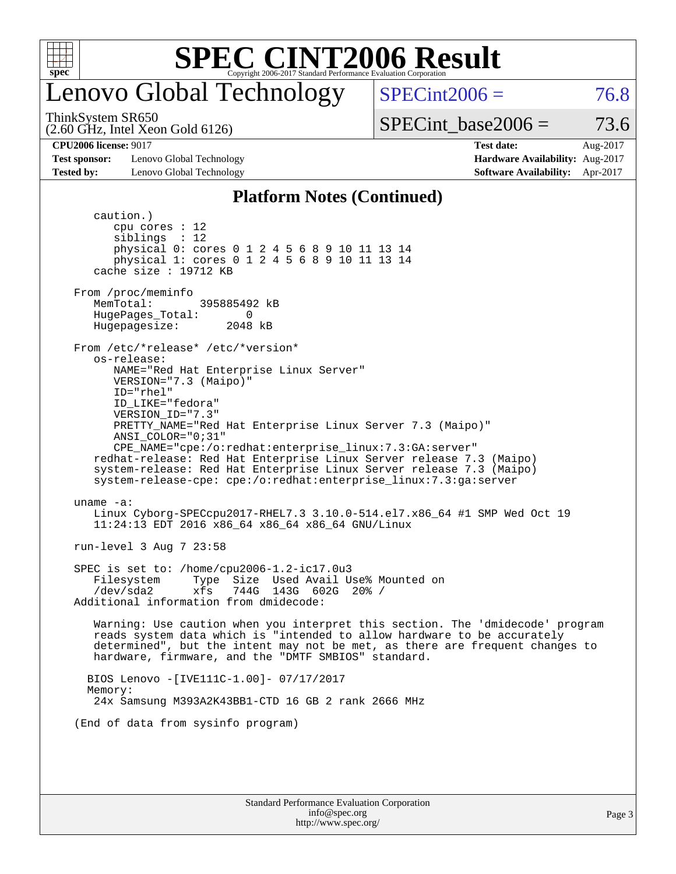

## enovo Global Technology

ThinkSystem SR650

(2.60 GHz, Intel Xeon Gold 6126)

 $SPECint2006 = 76.8$  $SPECint2006 = 76.8$ 

SPECint base2006 =  $73.6$ 

**[Test sponsor:](http://www.spec.org/auto/cpu2006/Docs/result-fields.html#Testsponsor)** Lenovo Global Technology **[Hardware Availability:](http://www.spec.org/auto/cpu2006/Docs/result-fields.html#HardwareAvailability)** Aug-2017 **[Tested by:](http://www.spec.org/auto/cpu2006/Docs/result-fields.html#Testedby)** Lenovo Global Technology **[Software Availability:](http://www.spec.org/auto/cpu2006/Docs/result-fields.html#SoftwareAvailability)** Apr-2017

**[CPU2006 license:](http://www.spec.org/auto/cpu2006/Docs/result-fields.html#CPU2006license)** 9017 **[Test date:](http://www.spec.org/auto/cpu2006/Docs/result-fields.html#Testdate)** Aug-2017

#### **[Platform Notes \(Continued\)](http://www.spec.org/auto/cpu2006/Docs/result-fields.html#PlatformNotes)**

Standard Performance Evaluation Corporation caution.) cpu cores : 12 siblings : 12 physical 0: cores 0 1 2 4 5 6 8 9 10 11 13 14 physical 1: cores 0 1 2 4 5 6 8 9 10 11 13 14 cache size : 19712 KB From /proc/meminfo MemTotal: 395885492 kB HugePages\_Total: 0<br>Hugepagesize: 2048 kB Hugepagesize: From /etc/\*release\* /etc/\*version\* os-release: NAME="Red Hat Enterprise Linux Server" VERSION="7.3 (Maipo)" ID="rhel" ID\_LIKE="fedora" VERSION\_ID="7.3" PRETTY\_NAME="Red Hat Enterprise Linux Server 7.3 (Maipo)" ANSI\_COLOR="0;31" CPE\_NAME="cpe:/o:redhat:enterprise\_linux:7.3:GA:server" redhat-release: Red Hat Enterprise Linux Server release 7.3 (Maipo) system-release: Red Hat Enterprise Linux Server release 7.3 (Maipo) system-release-cpe: cpe:/o:redhat:enterprise\_linux:7.3:ga:server uname -a: Linux Cyborg-SPECcpu2017-RHEL7.3 3.10.0-514.el7.x86\_64 #1 SMP Wed Oct 19 11:24:13 EDT 2016 x86\_64 x86\_64 x86\_64 GNU/Linux run-level 3 Aug 7 23:58 SPEC is set to: /home/cpu2006-1.2-ic17.0u3 Filesystem Type Size Used Avail Use% Mounted on /dev/sda2 xfs 744G 143G 602G 20% / Additional information from dmidecode: Warning: Use caution when you interpret this section. The 'dmidecode' program reads system data which is "intended to allow hardware to be accurately determined", but the intent may not be met, as there are frequent changes to hardware, firmware, and the "DMTF SMBIOS" standard. BIOS Lenovo -[IVE111C-1.00]- 07/17/2017 Memory: 24x Samsung M393A2K43BB1-CTD 16 GB 2 rank 2666 MHz (End of data from sysinfo program)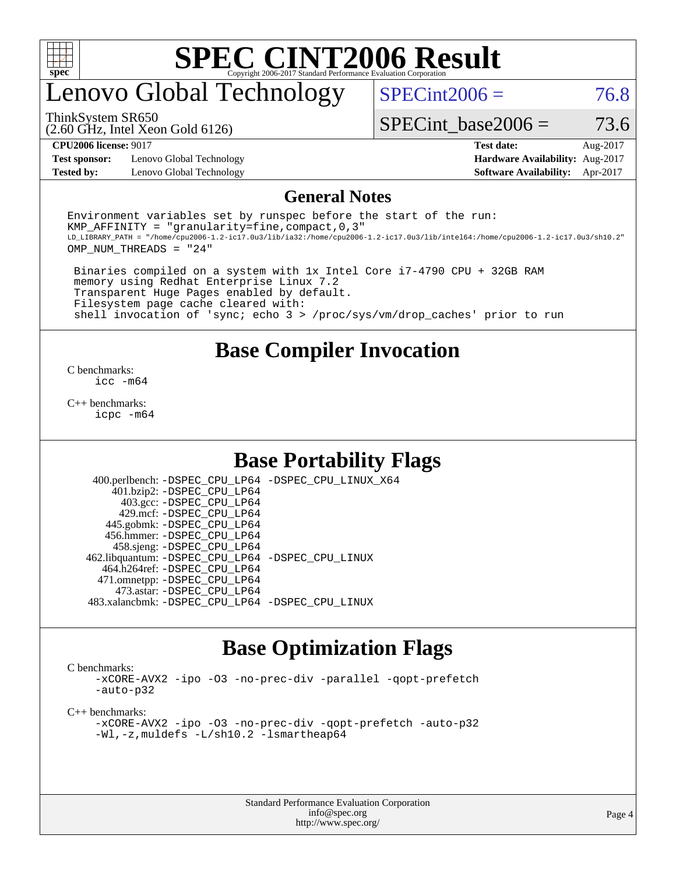

## enovo Global Technology

 $SPECint2006 = 76.8$  $SPECint2006 = 76.8$ 

(2.60 GHz, Intel Xeon Gold 6126) ThinkSystem SR650

SPECint base2006 =  $73.6$ 

**[Test sponsor:](http://www.spec.org/auto/cpu2006/Docs/result-fields.html#Testsponsor)** Lenovo Global Technology **[Hardware Availability:](http://www.spec.org/auto/cpu2006/Docs/result-fields.html#HardwareAvailability)** Aug-2017 **[Tested by:](http://www.spec.org/auto/cpu2006/Docs/result-fields.html#Testedby)** Lenovo Global Technology **[Software Availability:](http://www.spec.org/auto/cpu2006/Docs/result-fields.html#SoftwareAvailability)** Apr-2017

**[CPU2006 license:](http://www.spec.org/auto/cpu2006/Docs/result-fields.html#CPU2006license)** 9017 **[Test date:](http://www.spec.org/auto/cpu2006/Docs/result-fields.html#Testdate)** Aug-2017

#### **[General Notes](http://www.spec.org/auto/cpu2006/Docs/result-fields.html#GeneralNotes)**

Environment variables set by runspec before the start of the run: KMP AFFINITY = "granularity=fine, compact,  $0,3$ " LD\_LIBRARY\_PATH = "/home/cpu2006-1.2-ic17.0u3/lib/ia32:/home/cpu2006-1.2-ic17.0u3/lib/intel64:/home/cpu2006-1.2-ic17.0u3/sh10.2" OMP\_NUM\_THREADS = "24"

 Binaries compiled on a system with 1x Intel Core i7-4790 CPU + 32GB RAM memory using Redhat Enterprise Linux 7.2 Transparent Huge Pages enabled by default. Filesystem page cache cleared with: shell invocation of 'sync; echo 3 > /proc/sys/vm/drop\_caches' prior to run

### **[Base Compiler Invocation](http://www.spec.org/auto/cpu2006/Docs/result-fields.html#BaseCompilerInvocation)**

[C benchmarks](http://www.spec.org/auto/cpu2006/Docs/result-fields.html#Cbenchmarks): [icc -m64](http://www.spec.org/cpu2006/results/res2017q4/cpu2006-20170918-49721.flags.html#user_CCbase_intel_icc_64bit_bda6cc9af1fdbb0edc3795bac97ada53)

[C++ benchmarks:](http://www.spec.org/auto/cpu2006/Docs/result-fields.html#CXXbenchmarks) [icpc -m64](http://www.spec.org/cpu2006/results/res2017q4/cpu2006-20170918-49721.flags.html#user_CXXbase_intel_icpc_64bit_fc66a5337ce925472a5c54ad6a0de310)

### **[Base Portability Flags](http://www.spec.org/auto/cpu2006/Docs/result-fields.html#BasePortabilityFlags)**

 400.perlbench: [-DSPEC\\_CPU\\_LP64](http://www.spec.org/cpu2006/results/res2017q4/cpu2006-20170918-49721.flags.html#b400.perlbench_basePORTABILITY_DSPEC_CPU_LP64) [-DSPEC\\_CPU\\_LINUX\\_X64](http://www.spec.org/cpu2006/results/res2017q4/cpu2006-20170918-49721.flags.html#b400.perlbench_baseCPORTABILITY_DSPEC_CPU_LINUX_X64) 401.bzip2: [-DSPEC\\_CPU\\_LP64](http://www.spec.org/cpu2006/results/res2017q4/cpu2006-20170918-49721.flags.html#suite_basePORTABILITY401_bzip2_DSPEC_CPU_LP64) 403.gcc: [-DSPEC\\_CPU\\_LP64](http://www.spec.org/cpu2006/results/res2017q4/cpu2006-20170918-49721.flags.html#suite_basePORTABILITY403_gcc_DSPEC_CPU_LP64) 429.mcf: [-DSPEC\\_CPU\\_LP64](http://www.spec.org/cpu2006/results/res2017q4/cpu2006-20170918-49721.flags.html#suite_basePORTABILITY429_mcf_DSPEC_CPU_LP64) 445.gobmk: [-DSPEC\\_CPU\\_LP64](http://www.spec.org/cpu2006/results/res2017q4/cpu2006-20170918-49721.flags.html#suite_basePORTABILITY445_gobmk_DSPEC_CPU_LP64) 456.hmmer: [-DSPEC\\_CPU\\_LP64](http://www.spec.org/cpu2006/results/res2017q4/cpu2006-20170918-49721.flags.html#suite_basePORTABILITY456_hmmer_DSPEC_CPU_LP64) 458.sjeng: [-DSPEC\\_CPU\\_LP64](http://www.spec.org/cpu2006/results/res2017q4/cpu2006-20170918-49721.flags.html#suite_basePORTABILITY458_sjeng_DSPEC_CPU_LP64) 462.libquantum: [-DSPEC\\_CPU\\_LP64](http://www.spec.org/cpu2006/results/res2017q4/cpu2006-20170918-49721.flags.html#suite_basePORTABILITY462_libquantum_DSPEC_CPU_LP64) [-DSPEC\\_CPU\\_LINUX](http://www.spec.org/cpu2006/results/res2017q4/cpu2006-20170918-49721.flags.html#b462.libquantum_baseCPORTABILITY_DSPEC_CPU_LINUX) 464.h264ref: [-DSPEC\\_CPU\\_LP64](http://www.spec.org/cpu2006/results/res2017q4/cpu2006-20170918-49721.flags.html#suite_basePORTABILITY464_h264ref_DSPEC_CPU_LP64) 471.omnetpp: [-DSPEC\\_CPU\\_LP64](http://www.spec.org/cpu2006/results/res2017q4/cpu2006-20170918-49721.flags.html#suite_basePORTABILITY471_omnetpp_DSPEC_CPU_LP64) 473.astar: [-DSPEC\\_CPU\\_LP64](http://www.spec.org/cpu2006/results/res2017q4/cpu2006-20170918-49721.flags.html#suite_basePORTABILITY473_astar_DSPEC_CPU_LP64) 483.xalancbmk: [-DSPEC\\_CPU\\_LP64](http://www.spec.org/cpu2006/results/res2017q4/cpu2006-20170918-49721.flags.html#suite_basePORTABILITY483_xalancbmk_DSPEC_CPU_LP64) [-DSPEC\\_CPU\\_LINUX](http://www.spec.org/cpu2006/results/res2017q4/cpu2006-20170918-49721.flags.html#b483.xalancbmk_baseCXXPORTABILITY_DSPEC_CPU_LINUX)

### **[Base Optimization Flags](http://www.spec.org/auto/cpu2006/Docs/result-fields.html#BaseOptimizationFlags)**

[C benchmarks](http://www.spec.org/auto/cpu2006/Docs/result-fields.html#Cbenchmarks):

[-xCORE-AVX2](http://www.spec.org/cpu2006/results/res2017q4/cpu2006-20170918-49721.flags.html#user_CCbase_f-xCORE-AVX2) [-ipo](http://www.spec.org/cpu2006/results/res2017q4/cpu2006-20170918-49721.flags.html#user_CCbase_f-ipo) [-O3](http://www.spec.org/cpu2006/results/res2017q4/cpu2006-20170918-49721.flags.html#user_CCbase_f-O3) [-no-prec-div](http://www.spec.org/cpu2006/results/res2017q4/cpu2006-20170918-49721.flags.html#user_CCbase_f-no-prec-div) [-parallel](http://www.spec.org/cpu2006/results/res2017q4/cpu2006-20170918-49721.flags.html#user_CCbase_f-parallel) [-qopt-prefetch](http://www.spec.org/cpu2006/results/res2017q4/cpu2006-20170918-49721.flags.html#user_CCbase_f-qopt-prefetch) [-auto-p32](http://www.spec.org/cpu2006/results/res2017q4/cpu2006-20170918-49721.flags.html#user_CCbase_f-auto-p32)

[C++ benchmarks:](http://www.spec.org/auto/cpu2006/Docs/result-fields.html#CXXbenchmarks)

[-xCORE-AVX2](http://www.spec.org/cpu2006/results/res2017q4/cpu2006-20170918-49721.flags.html#user_CXXbase_f-xCORE-AVX2) [-ipo](http://www.spec.org/cpu2006/results/res2017q4/cpu2006-20170918-49721.flags.html#user_CXXbase_f-ipo) [-O3](http://www.spec.org/cpu2006/results/res2017q4/cpu2006-20170918-49721.flags.html#user_CXXbase_f-O3) [-no-prec-div](http://www.spec.org/cpu2006/results/res2017q4/cpu2006-20170918-49721.flags.html#user_CXXbase_f-no-prec-div) [-qopt-prefetch](http://www.spec.org/cpu2006/results/res2017q4/cpu2006-20170918-49721.flags.html#user_CXXbase_f-qopt-prefetch) [-auto-p32](http://www.spec.org/cpu2006/results/res2017q4/cpu2006-20170918-49721.flags.html#user_CXXbase_f-auto-p32) [-Wl,-z,muldefs](http://www.spec.org/cpu2006/results/res2017q4/cpu2006-20170918-49721.flags.html#user_CXXbase_link_force_multiple1_74079c344b956b9658436fd1b6dd3a8a) [-L/sh10.2 -lsmartheap64](http://www.spec.org/cpu2006/results/res2017q4/cpu2006-20170918-49721.flags.html#user_CXXbase_SmartHeap64_63911d860fc08c15fa1d5bf319b9d8d5)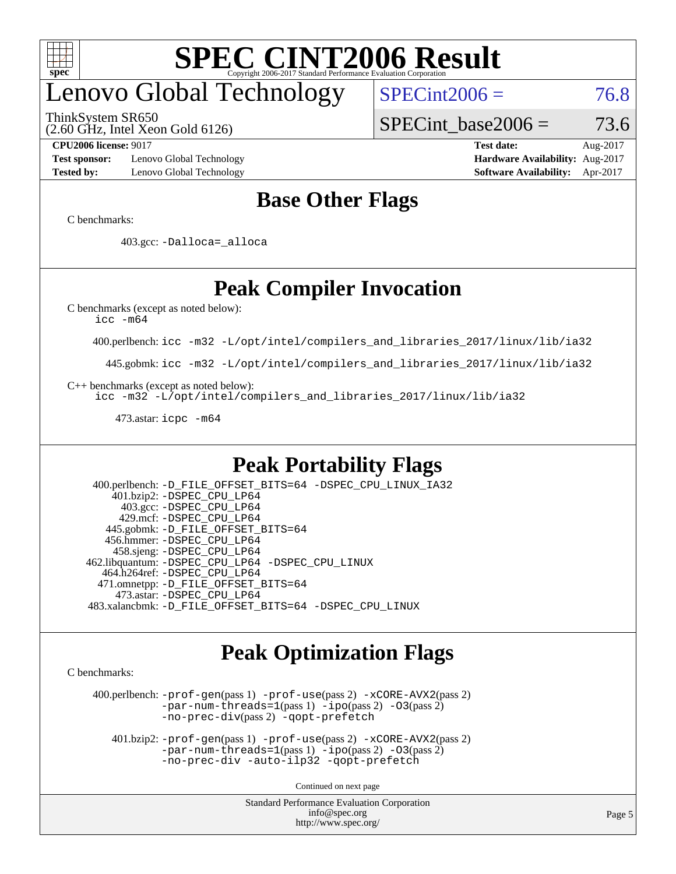

## enovo Global Technology

ThinkSystem SR650

(2.60 GHz, Intel Xeon Gold 6126)

 $SPECint2006 = 76.8$  $SPECint2006 = 76.8$ 

SPECint base2006 =  $73.6$ 

**[Test sponsor:](http://www.spec.org/auto/cpu2006/Docs/result-fields.html#Testsponsor)** Lenovo Global Technology **[Hardware Availability:](http://www.spec.org/auto/cpu2006/Docs/result-fields.html#HardwareAvailability)** Aug-2017 **[Tested by:](http://www.spec.org/auto/cpu2006/Docs/result-fields.html#Testedby)** Lenovo Global Technology **[Software Availability:](http://www.spec.org/auto/cpu2006/Docs/result-fields.html#SoftwareAvailability)** Apr-2017

**[CPU2006 license:](http://www.spec.org/auto/cpu2006/Docs/result-fields.html#CPU2006license)** 9017 **[Test date:](http://www.spec.org/auto/cpu2006/Docs/result-fields.html#Testdate)** Aug-2017

### **[Base Other Flags](http://www.spec.org/auto/cpu2006/Docs/result-fields.html#BaseOtherFlags)**

[C benchmarks](http://www.spec.org/auto/cpu2006/Docs/result-fields.html#Cbenchmarks):

403.gcc: [-Dalloca=\\_alloca](http://www.spec.org/cpu2006/results/res2017q4/cpu2006-20170918-49721.flags.html#b403.gcc_baseEXTRA_CFLAGS_Dalloca_be3056838c12de2578596ca5467af7f3)

## **[Peak Compiler Invocation](http://www.spec.org/auto/cpu2006/Docs/result-fields.html#PeakCompilerInvocation)**

[C benchmarks \(except as noted below\)](http://www.spec.org/auto/cpu2006/Docs/result-fields.html#Cbenchmarksexceptasnotedbelow):

[icc -m64](http://www.spec.org/cpu2006/results/res2017q4/cpu2006-20170918-49721.flags.html#user_CCpeak_intel_icc_64bit_bda6cc9af1fdbb0edc3795bac97ada53)

400.perlbench: [icc -m32 -L/opt/intel/compilers\\_and\\_libraries\\_2017/linux/lib/ia32](http://www.spec.org/cpu2006/results/res2017q4/cpu2006-20170918-49721.flags.html#user_peakCCLD400_perlbench_intel_icc_c29f3ff5a7ed067b11e4ec10a03f03ae)

445.gobmk: [icc -m32 -L/opt/intel/compilers\\_and\\_libraries\\_2017/linux/lib/ia32](http://www.spec.org/cpu2006/results/res2017q4/cpu2006-20170918-49721.flags.html#user_peakCCLD445_gobmk_intel_icc_c29f3ff5a7ed067b11e4ec10a03f03ae)

[C++ benchmarks \(except as noted below\):](http://www.spec.org/auto/cpu2006/Docs/result-fields.html#CXXbenchmarksexceptasnotedbelow)

[icc -m32 -L/opt/intel/compilers\\_and\\_libraries\\_2017/linux/lib/ia32](http://www.spec.org/cpu2006/results/res2017q4/cpu2006-20170918-49721.flags.html#user_CXXpeak_intel_icc_c29f3ff5a7ed067b11e4ec10a03f03ae)

473.astar: [icpc -m64](http://www.spec.org/cpu2006/results/res2017q4/cpu2006-20170918-49721.flags.html#user_peakCXXLD473_astar_intel_icpc_64bit_fc66a5337ce925472a5c54ad6a0de310)

### **[Peak Portability Flags](http://www.spec.org/auto/cpu2006/Docs/result-fields.html#PeakPortabilityFlags)**

 400.perlbench: [-D\\_FILE\\_OFFSET\\_BITS=64](http://www.spec.org/cpu2006/results/res2017q4/cpu2006-20170918-49721.flags.html#user_peakPORTABILITY400_perlbench_file_offset_bits_64_438cf9856305ebd76870a2c6dc2689ab) [-DSPEC\\_CPU\\_LINUX\\_IA32](http://www.spec.org/cpu2006/results/res2017q4/cpu2006-20170918-49721.flags.html#b400.perlbench_peakCPORTABILITY_DSPEC_CPU_LINUX_IA32) 401.bzip2: [-DSPEC\\_CPU\\_LP64](http://www.spec.org/cpu2006/results/res2017q4/cpu2006-20170918-49721.flags.html#suite_peakPORTABILITY401_bzip2_DSPEC_CPU_LP64) 403.gcc: [-DSPEC\\_CPU\\_LP64](http://www.spec.org/cpu2006/results/res2017q4/cpu2006-20170918-49721.flags.html#suite_peakPORTABILITY403_gcc_DSPEC_CPU_LP64) 429.mcf: [-DSPEC\\_CPU\\_LP64](http://www.spec.org/cpu2006/results/res2017q4/cpu2006-20170918-49721.flags.html#suite_peakPORTABILITY429_mcf_DSPEC_CPU_LP64) 445.gobmk: [-D\\_FILE\\_OFFSET\\_BITS=64](http://www.spec.org/cpu2006/results/res2017q4/cpu2006-20170918-49721.flags.html#user_peakPORTABILITY445_gobmk_file_offset_bits_64_438cf9856305ebd76870a2c6dc2689ab) 456.hmmer: [-DSPEC\\_CPU\\_LP64](http://www.spec.org/cpu2006/results/res2017q4/cpu2006-20170918-49721.flags.html#suite_peakPORTABILITY456_hmmer_DSPEC_CPU_LP64) 458.sjeng: [-DSPEC\\_CPU\\_LP64](http://www.spec.org/cpu2006/results/res2017q4/cpu2006-20170918-49721.flags.html#suite_peakPORTABILITY458_sjeng_DSPEC_CPU_LP64) 462.libquantum: [-DSPEC\\_CPU\\_LP64](http://www.spec.org/cpu2006/results/res2017q4/cpu2006-20170918-49721.flags.html#suite_peakPORTABILITY462_libquantum_DSPEC_CPU_LP64) [-DSPEC\\_CPU\\_LINUX](http://www.spec.org/cpu2006/results/res2017q4/cpu2006-20170918-49721.flags.html#b462.libquantum_peakCPORTABILITY_DSPEC_CPU_LINUX) 464.h264ref: [-DSPEC\\_CPU\\_LP64](http://www.spec.org/cpu2006/results/res2017q4/cpu2006-20170918-49721.flags.html#suite_peakPORTABILITY464_h264ref_DSPEC_CPU_LP64) 471.omnetpp: [-D\\_FILE\\_OFFSET\\_BITS=64](http://www.spec.org/cpu2006/results/res2017q4/cpu2006-20170918-49721.flags.html#user_peakPORTABILITY471_omnetpp_file_offset_bits_64_438cf9856305ebd76870a2c6dc2689ab) 473.astar: [-DSPEC\\_CPU\\_LP64](http://www.spec.org/cpu2006/results/res2017q4/cpu2006-20170918-49721.flags.html#suite_peakPORTABILITY473_astar_DSPEC_CPU_LP64) 483.xalancbmk: [-D\\_FILE\\_OFFSET\\_BITS=64](http://www.spec.org/cpu2006/results/res2017q4/cpu2006-20170918-49721.flags.html#user_peakPORTABILITY483_xalancbmk_file_offset_bits_64_438cf9856305ebd76870a2c6dc2689ab) [-DSPEC\\_CPU\\_LINUX](http://www.spec.org/cpu2006/results/res2017q4/cpu2006-20170918-49721.flags.html#b483.xalancbmk_peakCXXPORTABILITY_DSPEC_CPU_LINUX)

### **[Peak Optimization Flags](http://www.spec.org/auto/cpu2006/Docs/result-fields.html#PeakOptimizationFlags)**

[C benchmarks](http://www.spec.org/auto/cpu2006/Docs/result-fields.html#Cbenchmarks):

 400.perlbench: [-prof-gen](http://www.spec.org/cpu2006/results/res2017q4/cpu2006-20170918-49721.flags.html#user_peakPASS1_CFLAGSPASS1_LDCFLAGS400_perlbench_prof_gen_e43856698f6ca7b7e442dfd80e94a8fc)(pass 1) [-prof-use](http://www.spec.org/cpu2006/results/res2017q4/cpu2006-20170918-49721.flags.html#user_peakPASS2_CFLAGSPASS2_LDCFLAGS400_perlbench_prof_use_bccf7792157ff70d64e32fe3e1250b55)(pass 2) [-xCORE-AVX2](http://www.spec.org/cpu2006/results/res2017q4/cpu2006-20170918-49721.flags.html#user_peakPASS2_CFLAGSPASS2_LDCFLAGS400_perlbench_f-xCORE-AVX2)(pass 2) [-par-num-threads=1](http://www.spec.org/cpu2006/results/res2017q4/cpu2006-20170918-49721.flags.html#user_peakPASS1_CFLAGSPASS1_LDCFLAGS400_perlbench_par_num_threads_786a6ff141b4e9e90432e998842df6c2)(pass 1) [-ipo](http://www.spec.org/cpu2006/results/res2017q4/cpu2006-20170918-49721.flags.html#user_peakPASS2_CFLAGSPASS2_LDCFLAGS400_perlbench_f-ipo)(pass 2) [-O3](http://www.spec.org/cpu2006/results/res2017q4/cpu2006-20170918-49721.flags.html#user_peakPASS2_CFLAGSPASS2_LDCFLAGS400_perlbench_f-O3)(pass 2) [-no-prec-div](http://www.spec.org/cpu2006/results/res2017q4/cpu2006-20170918-49721.flags.html#user_peakPASS2_CFLAGSPASS2_LDCFLAGS400_perlbench_f-no-prec-div)(pass 2) [-qopt-prefetch](http://www.spec.org/cpu2006/results/res2017q4/cpu2006-20170918-49721.flags.html#user_peakCOPTIMIZE400_perlbench_f-qopt-prefetch)

 401.bzip2: [-prof-gen](http://www.spec.org/cpu2006/results/res2017q4/cpu2006-20170918-49721.flags.html#user_peakPASS1_CFLAGSPASS1_LDCFLAGS401_bzip2_prof_gen_e43856698f6ca7b7e442dfd80e94a8fc)(pass 1) [-prof-use](http://www.spec.org/cpu2006/results/res2017q4/cpu2006-20170918-49721.flags.html#user_peakPASS2_CFLAGSPASS2_LDCFLAGS401_bzip2_prof_use_bccf7792157ff70d64e32fe3e1250b55)(pass 2) [-xCORE-AVX2](http://www.spec.org/cpu2006/results/res2017q4/cpu2006-20170918-49721.flags.html#user_peakPASS2_CFLAGSPASS2_LDCFLAGS401_bzip2_f-xCORE-AVX2)(pass 2)  $-par-num-threads=1(pass 1) -ipo(pass 2) -O3(pass 2)$  $-par-num-threads=1(pass 1) -ipo(pass 2) -O3(pass 2)$  $-par-num-threads=1(pass 1) -ipo(pass 2) -O3(pass 2)$  $-par-num-threads=1(pass 1) -ipo(pass 2) -O3(pass 2)$  $-par-num-threads=1(pass 1) -ipo(pass 2) -O3(pass 2)$  $-par-num-threads=1(pass 1) -ipo(pass 2) -O3(pass 2)$ [-no-prec-div](http://www.spec.org/cpu2006/results/res2017q4/cpu2006-20170918-49721.flags.html#user_peakCOPTIMIZEPASS2_CFLAGSPASS2_LDCFLAGS401_bzip2_f-no-prec-div) [-auto-ilp32](http://www.spec.org/cpu2006/results/res2017q4/cpu2006-20170918-49721.flags.html#user_peakCOPTIMIZE401_bzip2_f-auto-ilp32) [-qopt-prefetch](http://www.spec.org/cpu2006/results/res2017q4/cpu2006-20170918-49721.flags.html#user_peakCOPTIMIZE401_bzip2_f-qopt-prefetch)

Continued on next page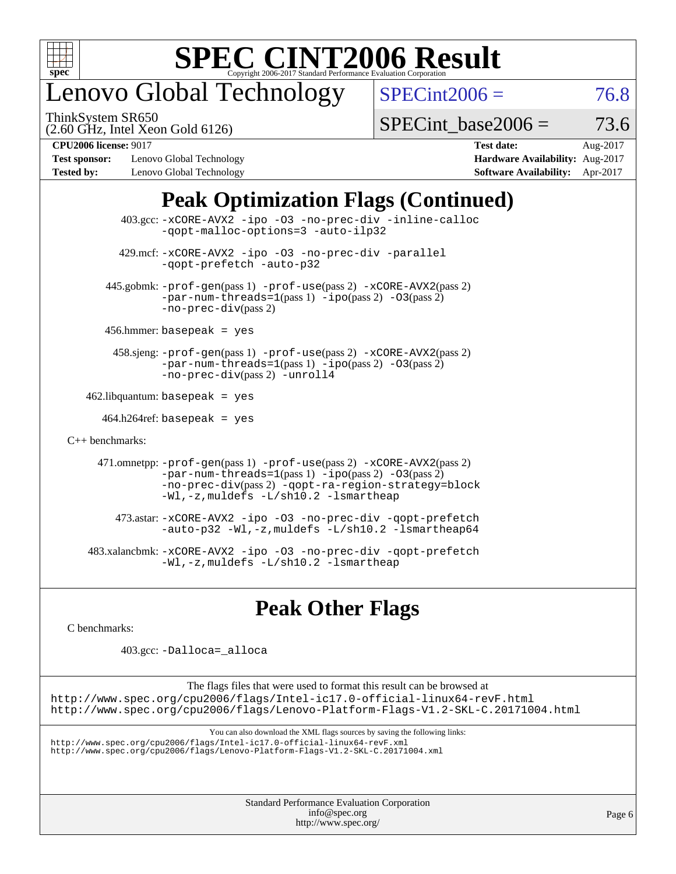

## enovo Global Technology

ThinkSystem SR650

 $SPECint2006 = 76.8$  $SPECint2006 = 76.8$ 

(2.60 GHz, Intel Xeon Gold 6126)

SPECint base2006 =  $73.6$ 

**[Test sponsor:](http://www.spec.org/auto/cpu2006/Docs/result-fields.html#Testsponsor)** Lenovo Global Technology **[Hardware Availability:](http://www.spec.org/auto/cpu2006/Docs/result-fields.html#HardwareAvailability)** Aug-2017 **[Tested by:](http://www.spec.org/auto/cpu2006/Docs/result-fields.html#Testedby)** Lenovo Global Technology **[Software Availability:](http://www.spec.org/auto/cpu2006/Docs/result-fields.html#SoftwareAvailability)** Apr-2017

**[CPU2006 license:](http://www.spec.org/auto/cpu2006/Docs/result-fields.html#CPU2006license)** 9017 **[Test date:](http://www.spec.org/auto/cpu2006/Docs/result-fields.html#Testdate)** Aug-2017

## **[Peak Optimization Flags \(Continued\)](http://www.spec.org/auto/cpu2006/Docs/result-fields.html#PeakOptimizationFlags)**

 403.gcc: [-xCORE-AVX2](http://www.spec.org/cpu2006/results/res2017q4/cpu2006-20170918-49721.flags.html#user_peakOPTIMIZE403_gcc_f-xCORE-AVX2) [-ipo](http://www.spec.org/cpu2006/results/res2017q4/cpu2006-20170918-49721.flags.html#user_peakOPTIMIZE403_gcc_f-ipo) [-O3](http://www.spec.org/cpu2006/results/res2017q4/cpu2006-20170918-49721.flags.html#user_peakOPTIMIZE403_gcc_f-O3) [-no-prec-div](http://www.spec.org/cpu2006/results/res2017q4/cpu2006-20170918-49721.flags.html#user_peakOPTIMIZE403_gcc_f-no-prec-div) [-inline-calloc](http://www.spec.org/cpu2006/results/res2017q4/cpu2006-20170918-49721.flags.html#user_peakCOPTIMIZE403_gcc_f-inline-calloc) [-qopt-malloc-options=3](http://www.spec.org/cpu2006/results/res2017q4/cpu2006-20170918-49721.flags.html#user_peakCOPTIMIZE403_gcc_f-qopt-malloc-options_0fcb435012e78f27d57f473818e45fe4) [-auto-ilp32](http://www.spec.org/cpu2006/results/res2017q4/cpu2006-20170918-49721.flags.html#user_peakCOPTIMIZE403_gcc_f-auto-ilp32) 429.mcf: [-xCORE-AVX2](http://www.spec.org/cpu2006/results/res2017q4/cpu2006-20170918-49721.flags.html#user_peakOPTIMIZE429_mcf_f-xCORE-AVX2) [-ipo](http://www.spec.org/cpu2006/results/res2017q4/cpu2006-20170918-49721.flags.html#user_peakOPTIMIZE429_mcf_f-ipo) [-O3](http://www.spec.org/cpu2006/results/res2017q4/cpu2006-20170918-49721.flags.html#user_peakOPTIMIZE429_mcf_f-O3) [-no-prec-div](http://www.spec.org/cpu2006/results/res2017q4/cpu2006-20170918-49721.flags.html#user_peakOPTIMIZE429_mcf_f-no-prec-div) [-parallel](http://www.spec.org/cpu2006/results/res2017q4/cpu2006-20170918-49721.flags.html#user_peakCOPTIMIZE429_mcf_f-parallel) [-qopt-prefetch](http://www.spec.org/cpu2006/results/res2017q4/cpu2006-20170918-49721.flags.html#user_peakCOPTIMIZE429_mcf_f-qopt-prefetch) [-auto-p32](http://www.spec.org/cpu2006/results/res2017q4/cpu2006-20170918-49721.flags.html#user_peakCOPTIMIZE429_mcf_f-auto-p32) 445.gobmk: [-prof-gen](http://www.spec.org/cpu2006/results/res2017q4/cpu2006-20170918-49721.flags.html#user_peakPASS1_CFLAGSPASS1_LDCFLAGS445_gobmk_prof_gen_e43856698f6ca7b7e442dfd80e94a8fc)(pass 1) [-prof-use](http://www.spec.org/cpu2006/results/res2017q4/cpu2006-20170918-49721.flags.html#user_peakPASS2_CFLAGSPASS2_LDCFLAGS445_gobmk_prof_use_bccf7792157ff70d64e32fe3e1250b55)(pass 2) [-xCORE-AVX2](http://www.spec.org/cpu2006/results/res2017q4/cpu2006-20170918-49721.flags.html#user_peakPASS2_CFLAGSPASS2_LDCFLAGS445_gobmk_f-xCORE-AVX2)(pass 2)  $-par-num-threads=1(pass 1) -ipo(pass 2) -O3(pass 2)$  $-par-num-threads=1(pass 1) -ipo(pass 2) -O3(pass 2)$  $-par-num-threads=1(pass 1) -ipo(pass 2) -O3(pass 2)$  $-par-num-threads=1(pass 1) -ipo(pass 2) -O3(pass 2)$  $-par-num-threads=1(pass 1) -ipo(pass 2) -O3(pass 2)$  $-par-num-threads=1(pass 1) -ipo(pass 2) -O3(pass 2)$ [-no-prec-div](http://www.spec.org/cpu2006/results/res2017q4/cpu2006-20170918-49721.flags.html#user_peakPASS2_CFLAGSPASS2_LDCFLAGS445_gobmk_f-no-prec-div)(pass 2) 456.hmmer: basepeak = yes 458.sjeng: [-prof-gen](http://www.spec.org/cpu2006/results/res2017q4/cpu2006-20170918-49721.flags.html#user_peakPASS1_CFLAGSPASS1_LDCFLAGS458_sjeng_prof_gen_e43856698f6ca7b7e442dfd80e94a8fc)(pass 1) [-prof-use](http://www.spec.org/cpu2006/results/res2017q4/cpu2006-20170918-49721.flags.html#user_peakPASS2_CFLAGSPASS2_LDCFLAGS458_sjeng_prof_use_bccf7792157ff70d64e32fe3e1250b55)(pass 2) [-xCORE-AVX2](http://www.spec.org/cpu2006/results/res2017q4/cpu2006-20170918-49721.flags.html#user_peakPASS2_CFLAGSPASS2_LDCFLAGS458_sjeng_f-xCORE-AVX2)(pass 2) [-par-num-threads=1](http://www.spec.org/cpu2006/results/res2017q4/cpu2006-20170918-49721.flags.html#user_peakPASS1_CFLAGSPASS1_LDCFLAGS458_sjeng_par_num_threads_786a6ff141b4e9e90432e998842df6c2)(pass 1) [-ipo](http://www.spec.org/cpu2006/results/res2017q4/cpu2006-20170918-49721.flags.html#user_peakPASS2_CFLAGSPASS2_LDCFLAGS458_sjeng_f-ipo)(pass 2) [-O3](http://www.spec.org/cpu2006/results/res2017q4/cpu2006-20170918-49721.flags.html#user_peakPASS2_CFLAGSPASS2_LDCFLAGS458_sjeng_f-O3)(pass 2) [-no-prec-div](http://www.spec.org/cpu2006/results/res2017q4/cpu2006-20170918-49721.flags.html#user_peakPASS2_CFLAGSPASS2_LDCFLAGS458_sjeng_f-no-prec-div)(pass 2) [-unroll4](http://www.spec.org/cpu2006/results/res2017q4/cpu2006-20170918-49721.flags.html#user_peakCOPTIMIZE458_sjeng_f-unroll_4e5e4ed65b7fd20bdcd365bec371b81f)  $462$ .libquantum: basepeak = yes  $464.h264$ ref: basepeak = yes [C++ benchmarks:](http://www.spec.org/auto/cpu2006/Docs/result-fields.html#CXXbenchmarks) 471.omnetpp: [-prof-gen](http://www.spec.org/cpu2006/results/res2017q4/cpu2006-20170918-49721.flags.html#user_peakPASS1_CXXFLAGSPASS1_LDCXXFLAGS471_omnetpp_prof_gen_e43856698f6ca7b7e442dfd80e94a8fc)(pass 1) [-prof-use](http://www.spec.org/cpu2006/results/res2017q4/cpu2006-20170918-49721.flags.html#user_peakPASS2_CXXFLAGSPASS2_LDCXXFLAGS471_omnetpp_prof_use_bccf7792157ff70d64e32fe3e1250b55)(pass 2) [-xCORE-AVX2](http://www.spec.org/cpu2006/results/res2017q4/cpu2006-20170918-49721.flags.html#user_peakPASS2_CXXFLAGSPASS2_LDCXXFLAGS471_omnetpp_f-xCORE-AVX2)(pass 2)  $-par-num-threads=1(pass 1) -ipo(pass 2) -O3(pass 2)$  $-par-num-threads=1(pass 1) -ipo(pass 2) -O3(pass 2)$  $-par-num-threads=1(pass 1) -ipo(pass 2) -O3(pass 2)$  $-par-num-threads=1(pass 1) -ipo(pass 2) -O3(pass 2)$  $-par-num-threads=1(pass 1) -ipo(pass 2) -O3(pass 2)$  $-par-num-threads=1(pass 1) -ipo(pass 2) -O3(pass 2)$ [-no-prec-div](http://www.spec.org/cpu2006/results/res2017q4/cpu2006-20170918-49721.flags.html#user_peakPASS2_CXXFLAGSPASS2_LDCXXFLAGS471_omnetpp_f-no-prec-div)(pass 2) [-qopt-ra-region-strategy=block](http://www.spec.org/cpu2006/results/res2017q4/cpu2006-20170918-49721.flags.html#user_peakCXXOPTIMIZE471_omnetpp_f-qopt-ra-region-strategy_0f7b543d62da454b380160c0e3b28f94) [-Wl,-z,muldefs](http://www.spec.org/cpu2006/results/res2017q4/cpu2006-20170918-49721.flags.html#user_peakEXTRA_LDFLAGS471_omnetpp_link_force_multiple1_74079c344b956b9658436fd1b6dd3a8a) [-L/sh10.2 -lsmartheap](http://www.spec.org/cpu2006/results/res2017q4/cpu2006-20170918-49721.flags.html#user_peakEXTRA_LIBS471_omnetpp_SmartHeap_b831f2d313e2fffa6dfe3f00ffc1f1c0) 473.astar: [-xCORE-AVX2](http://www.spec.org/cpu2006/results/res2017q4/cpu2006-20170918-49721.flags.html#user_peakOPTIMIZE473_astar_f-xCORE-AVX2) [-ipo](http://www.spec.org/cpu2006/results/res2017q4/cpu2006-20170918-49721.flags.html#user_peakOPTIMIZE473_astar_f-ipo) [-O3](http://www.spec.org/cpu2006/results/res2017q4/cpu2006-20170918-49721.flags.html#user_peakOPTIMIZE473_astar_f-O3) [-no-prec-div](http://www.spec.org/cpu2006/results/res2017q4/cpu2006-20170918-49721.flags.html#user_peakOPTIMIZE473_astar_f-no-prec-div) [-qopt-prefetch](http://www.spec.org/cpu2006/results/res2017q4/cpu2006-20170918-49721.flags.html#user_peakCXXOPTIMIZE473_astar_f-qopt-prefetch) [-auto-p32](http://www.spec.org/cpu2006/results/res2017q4/cpu2006-20170918-49721.flags.html#user_peakCXXOPTIMIZE473_astar_f-auto-p32) [-Wl,-z,muldefs](http://www.spec.org/cpu2006/results/res2017q4/cpu2006-20170918-49721.flags.html#user_peakEXTRA_LDFLAGS473_astar_link_force_multiple1_74079c344b956b9658436fd1b6dd3a8a) [-L/sh10.2 -lsmartheap64](http://www.spec.org/cpu2006/results/res2017q4/cpu2006-20170918-49721.flags.html#user_peakEXTRA_LIBS473_astar_SmartHeap64_63911d860fc08c15fa1d5bf319b9d8d5) 483.xalancbmk: [-xCORE-AVX2](http://www.spec.org/cpu2006/results/res2017q4/cpu2006-20170918-49721.flags.html#user_peakOPTIMIZE483_xalancbmk_f-xCORE-AVX2) [-ipo](http://www.spec.org/cpu2006/results/res2017q4/cpu2006-20170918-49721.flags.html#user_peakOPTIMIZE483_xalancbmk_f-ipo) [-O3](http://www.spec.org/cpu2006/results/res2017q4/cpu2006-20170918-49721.flags.html#user_peakOPTIMIZE483_xalancbmk_f-O3) [-no-prec-div](http://www.spec.org/cpu2006/results/res2017q4/cpu2006-20170918-49721.flags.html#user_peakOPTIMIZE483_xalancbmk_f-no-prec-div) [-qopt-prefetch](http://www.spec.org/cpu2006/results/res2017q4/cpu2006-20170918-49721.flags.html#user_peakCXXOPTIMIZE483_xalancbmk_f-qopt-prefetch) [-Wl,-z,muldefs](http://www.spec.org/cpu2006/results/res2017q4/cpu2006-20170918-49721.flags.html#user_peakEXTRA_LDFLAGS483_xalancbmk_link_force_multiple1_74079c344b956b9658436fd1b6dd3a8a) [-L/sh10.2 -lsmartheap](http://www.spec.org/cpu2006/results/res2017q4/cpu2006-20170918-49721.flags.html#user_peakEXTRA_LIBS483_xalancbmk_SmartHeap_b831f2d313e2fffa6dfe3f00ffc1f1c0)

### **[Peak Other Flags](http://www.spec.org/auto/cpu2006/Docs/result-fields.html#PeakOtherFlags)**

[C benchmarks](http://www.spec.org/auto/cpu2006/Docs/result-fields.html#Cbenchmarks):

403.gcc: [-Dalloca=\\_alloca](http://www.spec.org/cpu2006/results/res2017q4/cpu2006-20170918-49721.flags.html#b403.gcc_peakEXTRA_CFLAGS_Dalloca_be3056838c12de2578596ca5467af7f3)

The flags files that were used to format this result can be browsed at <http://www.spec.org/cpu2006/flags/Intel-ic17.0-official-linux64-revF.html> <http://www.spec.org/cpu2006/flags/Lenovo-Platform-Flags-V1.2-SKL-C.20171004.html>

You can also download the XML flags sources by saving the following links:

<http://www.spec.org/cpu2006/flags/Intel-ic17.0-official-linux64-revF.xml> <http://www.spec.org/cpu2006/flags/Lenovo-Platform-Flags-V1.2-SKL-C.20171004.xml>